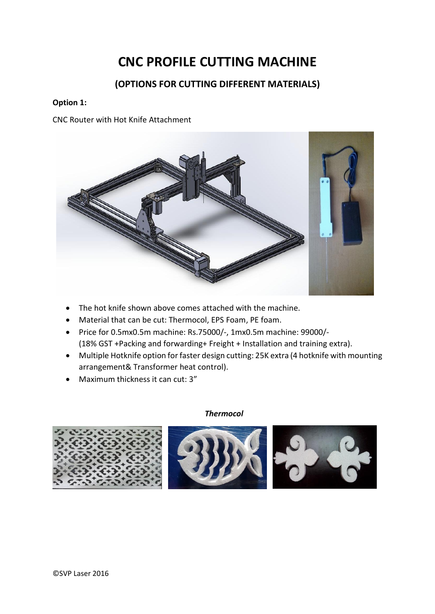# **CNC PROFILE CUTTING MACHINE**

# **(OPTIONS FOR CUTTING DIFFERENT MATERIALS)**

## **Option 1:**

CNC Router with Hot Knife Attachment



- The hot knife shown above comes attached with the machine.
- Material that can be cut: Thermocol, EPS Foam, PE foam.
- Price for 0.5mx0.5m machine: Rs.75000/-, 1mx0.5m machine: 99000/- (18% GST +Packing and forwarding+ Freight + Installation and training extra).
- Multiple Hotknife option for faster design cutting: 25K extra (4 hotknife with mounting arrangement& Transformer heat control).
- Maximum thickness it can cut: 3"

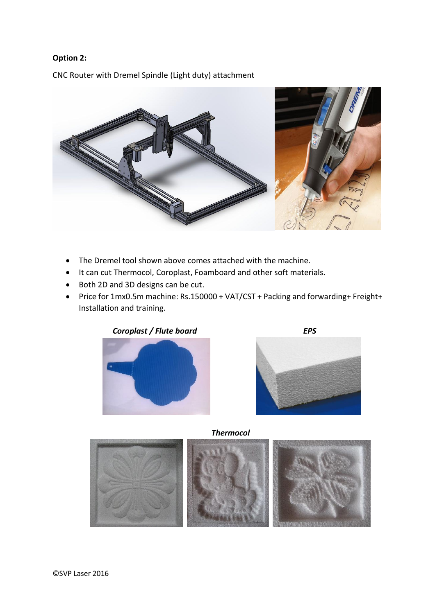## **Option 2:**

CNC Router with Dremel Spindle (Light duty) attachment



- The Dremel tool shown above comes attached with the machine.
- It can cut Thermocol, Coroplast, Foamboard and other soft materials.
- Both 2D and 3D designs can be cut.
- Price for 1mx0.5m machine: Rs.150000 + VAT/CST + Packing and forwarding+ Freight+ Installation and training.





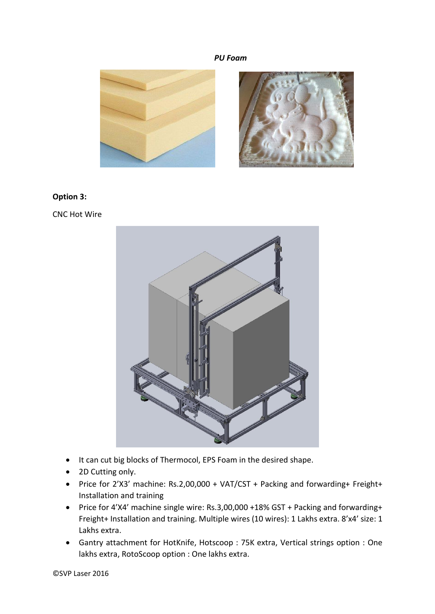#### *PU Foam*



#### **Option 3:**

CNC Hot Wire



- It can cut big blocks of Thermocol, EPS Foam in the desired shape.
- 2D Cutting only.
- Price for 2'X3' machine: Rs.2,00,000 + VAT/CST + Packing and forwarding+ Freight+ Installation and training
- Price for 4'X4' machine single wire: Rs.3,00,000 +18% GST + Packing and forwarding+ Freight+ Installation and training. Multiple wires (10 wires): 1 Lakhs extra. 8'x4' size: 1 Lakhs extra.
- Gantry attachment for HotKnife, Hotscoop : 75K extra, Vertical strings option : One lakhs extra, RotoScoop option : One lakhs extra.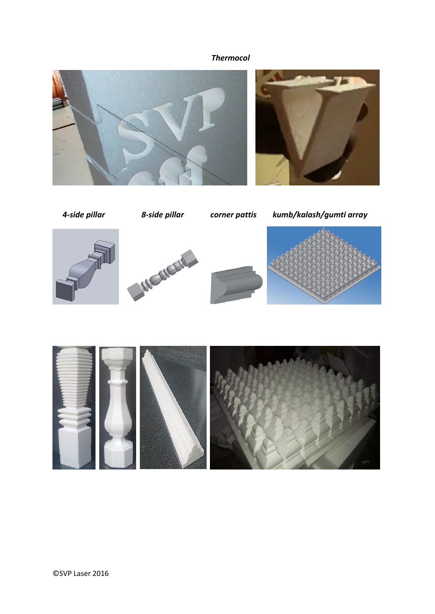



 *4-side pillar 8-side pillar corner pattis kumb/kalash/gumti array*









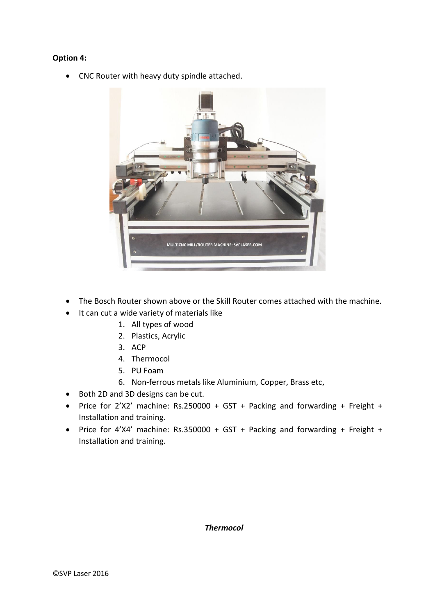## **Option 4:**

• CNC Router with heavy duty spindle attached.



- The Bosch Router shown above or the Skill Router comes attached with the machine.
- It can cut a wide variety of materials like
	- 1. All types of wood
	- 2. Plastics, Acrylic
	- 3. ACP
	- 4. Thermocol
	- 5. PU Foam
	- 6. Non-ferrous metals like Aluminium, Copper, Brass etc,
- Both 2D and 3D designs can be cut.
- Price for 2'X2' machine: Rs.250000 + GST + Packing and forwarding + Freight + Installation and training.
- Price for 4'X4' machine: Rs.350000 + GST + Packing and forwarding + Freight + Installation and training.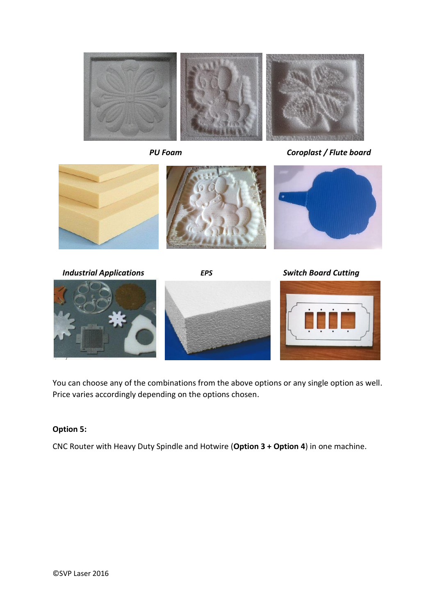

 *PU Foam Coroplast / Flute board*



 *Industrial Applications EPS Switch Board Cutting*







You can choose any of the combinations from the above options or any single option as well. Price varies accordingly depending on the options chosen.

## **Option 5:**

CNC Router with Heavy Duty Spindle and Hotwire (**Option 3 + Option 4**) in one machine.